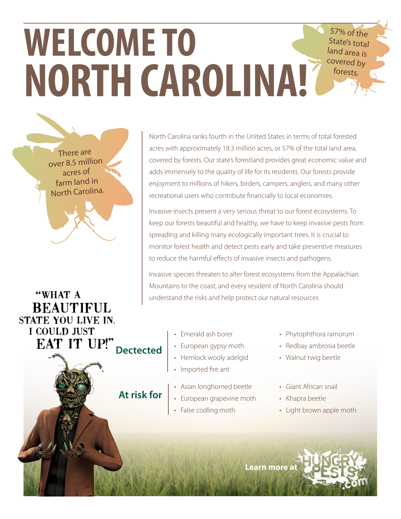## **WELCOME TO NORTH CAROLINA!**  $57\%$  of State's total land area is covered by forests.

There are over 8.5 million acres of farm land in North Carolina.

"WHAT A **BEAUTIFUL** STATE YOU LIVE IN. I COULD JUST EAT IT UP!" **Dectected**

North Carolina ranks fourth in the United States in terms of total forested acres with approximately 18.3 million acres, or 57% of the total land area, covered by forests. Our state's forestland provides great economic value and adds immensely to the quality of life for its residents. Our forests provide enjoyment to millions of hikers, birders, campers, anglers, and many other recreational users who contribute financially to local economies.

Invasive insects present a very serious threat to our forest ecosystems. To keep our forests beautiful and healthy, we have to keep invasive pests from spreading and killing many ecologically important trees. It is crucial to monitor forest health and detect pests early and take preventive measures to reduce the harmful effects of invasive insects and pathogens.

Invasive species threaten to alter forest ecosystems from the Appalachian Mountains to the coast, and every resident of North Carolina should understand the risks and help protect our natural resources

- Emerald ash borer
- European gypsy moth
- Hemlock wooly adelgid
- Imported fire ant

**At risk for**

- Asian longhorned beetle
- European grapevine moth
- False codling moth
- Phytophthora ramorum
- Redbay ambrosia beetle
- Walnut twig beetle
- Giant African snail
- Khapra beetle
- Light brown apple moth

**Learn mor[e at](http://www.hungrypests.com)**